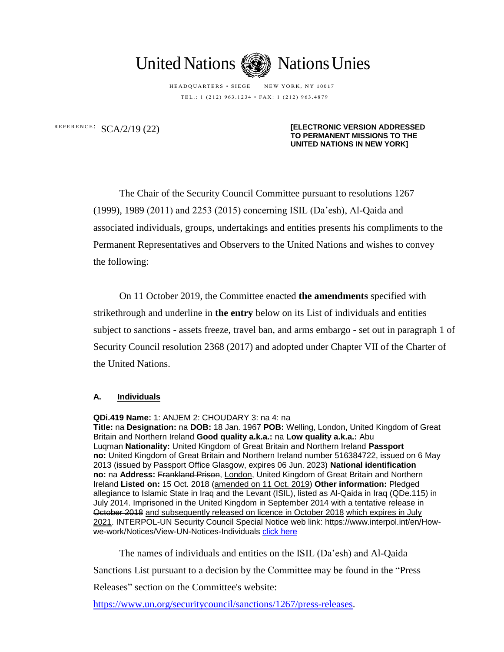

HEADOUARTERS • SIEGE NEW YORK, NY 10017 TEL .: 1 (212) 963.1234 • FAX: 1 (212) 963.4879

REFERENCE:  $SCA/2/19$  (22)

**[ELECTRONIC VERSION ADDRESSED TO PERMANENT MISSIONS TO THE UNITED NATIONS IN NEW YORK]**

The Chair of the Security Council Committee pursuant to resolutions 1267 (1999), 1989 (2011) and 2253 (2015) concerning ISIL (Da'esh), Al-Qaida and associated individuals, groups, undertakings and entities presents his compliments to the Permanent Representatives and Observers to the United Nations and wishes to convey the following:

On 11 October 2019, the Committee enacted **the amendments** specified with strikethrough and underline in **the entry** below on its List of individuals and entities subject to sanctions - assets freeze, travel ban, and arms embargo - set out in paragraph 1 of Security Council resolution 2368 (2017) and adopted under Chapter VII of the Charter of the United Nations.

## **A. Individuals**

**QDi.419 Name:** 1: ANJEM 2: CHOUDARY 3: na 4: na

**Title:** na **Designation:** na **DOB:** 18 Jan. 1967 **POB:** Welling, London, United Kingdom of Great Britain and Northern Ireland **Good quality a.k.a.:** na **Low quality a.k.a.:** Abu Luqman **Nationality:** United Kingdom of Great Britain and Northern Ireland **Passport no:** United Kingdom of Great Britain and Northern Ireland number 516384722, issued on 6 May 2013 (issued by Passport Office Glasgow, expires 06 Jun. 2023) **National identification no:** na **Address:** Frankland Prison, London, United Kingdom of Great Britain and Northern Ireland **Listed on:** 15 Oct. 2018 (amended on 11 Oct. 2019) **Other information:** Pledged allegiance to Islamic State in Iraq and the Levant (ISIL), listed as Al-Qaida in Iraq (QDe.115) in July 2014. Imprisoned in the United Kingdom in September 2014 with a tentative release in October 2018 and subsequently released on licence in October 2018 which expires in July 2021. INTERPOL-UN Security Council Special Notice web link: https://www.interpol.int/en/Howwe-work/Notices/View-UN-Notices-Individuals click [here](https://www.interpol.int/en/How-we-work/Notices/View-UN-Notices-Individuals)

The names of individuals and entities on the ISIL (Da'esh) and Al-Qaida Sanctions List pursuant to a decision by the Committee may be found in the "Press Releases" section on the Committee's website:

https://www.un.org/securitycouncil/sanctions/1267/press-releases.